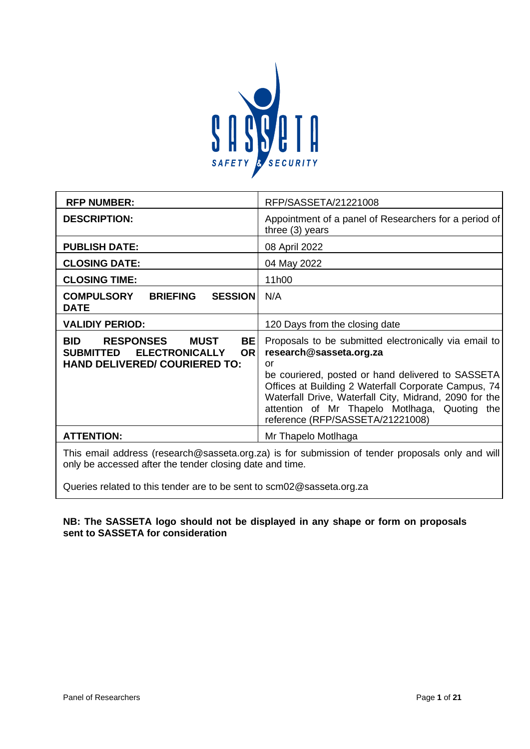

| <b>RFP NUMBER:</b>                                                                                                                                    | RFP/SASSETA/21221008                                                                                                                                                                                                                                                                                                                               |  |  |
|-------------------------------------------------------------------------------------------------------------------------------------------------------|----------------------------------------------------------------------------------------------------------------------------------------------------------------------------------------------------------------------------------------------------------------------------------------------------------------------------------------------------|--|--|
| <b>DESCRIPTION:</b>                                                                                                                                   | Appointment of a panel of Researchers for a period of<br>three $(3)$ years                                                                                                                                                                                                                                                                         |  |  |
| <b>PUBLISH DATE:</b>                                                                                                                                  | 08 April 2022                                                                                                                                                                                                                                                                                                                                      |  |  |
| <b>CLOSING DATE:</b>                                                                                                                                  | 04 May 2022                                                                                                                                                                                                                                                                                                                                        |  |  |
| <b>CLOSING TIME:</b>                                                                                                                                  | 11h00                                                                                                                                                                                                                                                                                                                                              |  |  |
| <b>COMPULSORY</b><br><b>BRIEFING</b><br><b>SESSION</b><br><b>DATE</b>                                                                                 | N/A                                                                                                                                                                                                                                                                                                                                                |  |  |
| <b>VALIDIY PERIOD:</b>                                                                                                                                | 120 Days from the closing date                                                                                                                                                                                                                                                                                                                     |  |  |
| <b>RESPONSES</b><br>BE<br><b>BID</b><br><b>MUST</b><br><b>ELECTRONICALLY</b><br><b>OR</b><br><b>SUBMITTED</b><br><b>HAND DELIVERED/ COURIERED TO:</b> | Proposals to be submitted electronically via email to<br>research@sasseta.org.za<br>or<br>be couriered, posted or hand delivered to SASSETA<br>Offices at Building 2 Waterfall Corporate Campus, 74<br>Waterfall Drive, Waterfall City, Midrand, 2090 for the<br>attention of Mr Thapelo Motlhaga, Quoting the<br>reference (RFP/SASSETA/21221008) |  |  |
| <b>ATTENTION:</b>                                                                                                                                     | Mr Thapelo Motlhaga                                                                                                                                                                                                                                                                                                                                |  |  |
| This email address (research@sasseta.org.za) is for submission of tender proposals only and will                                                      |                                                                                                                                                                                                                                                                                                                                                    |  |  |

only be accessed after the tender closing date and time.

Queries related to this tender are to be sent to scm02@sasseta.org.za

# **NB: The SASSETA logo should not be displayed in any shape or form on proposals sent to SASSETA for consideration**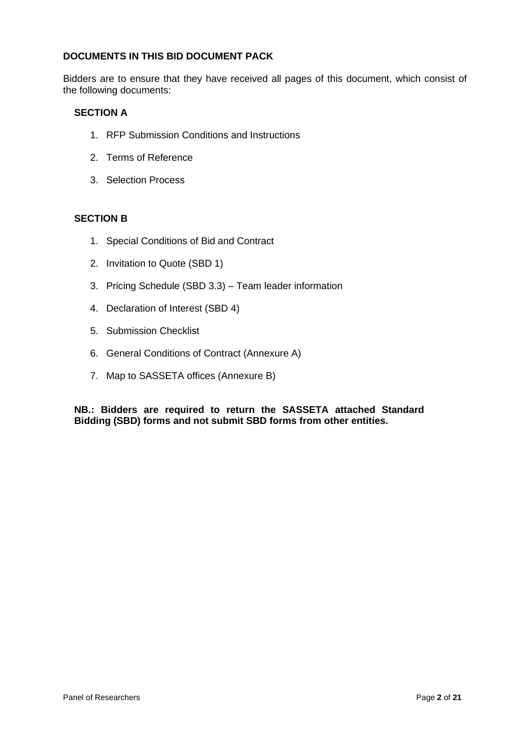### **DOCUMENTS IN THIS BID DOCUMENT PACK**

Bidders are to ensure that they have received all pages of this document, which consist of the following documents:

### **SECTION A**

- 1. RFP Submission Conditions and Instructions
- 2. Terms of Reference
- 3. Selection Process

### **SECTION B**

- 1. Special Conditions of Bid and Contract
- 2. Invitation to Quote (SBD 1)
- 3. Pricing Schedule (SBD 3.3) Team leader information
- 4. Declaration of Interest (SBD 4)
- 5. Submission Checklist
- 6. General Conditions of Contract (Annexure A)
- 7. Map to SASSETA offices (Annexure B)

**NB.: Bidders are required to return the SASSETA attached Standard Bidding (SBD) forms and not submit SBD forms from other entities.**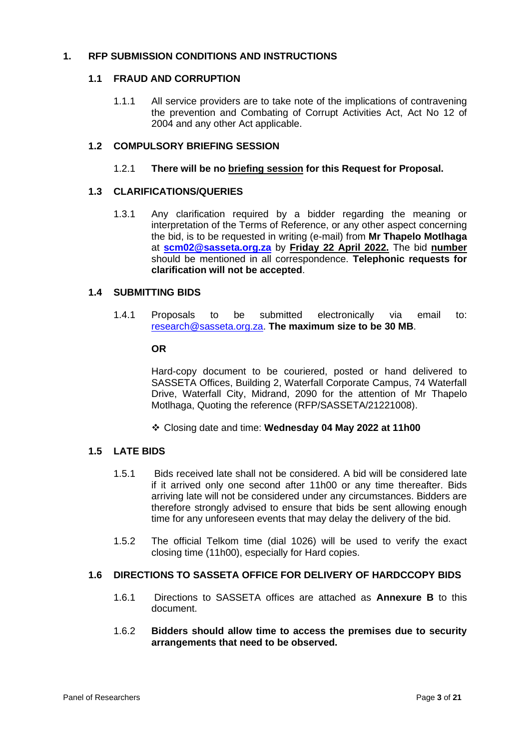### **1. RFP SUBMISSION CONDITIONS AND INSTRUCTIONS**

### **1.1 FRAUD AND CORRUPTION**

1.1.1 All service providers are to take note of the implications of contravening the prevention and Combating of Corrupt Activities Act, Act No 12 of 2004 and any other Act applicable.

### **1.2 COMPULSORY BRIEFING SESSION**

#### 1.2.1 **There will be no briefing session for this Request for Proposal.**

### **1.3 CLARIFICATIONS/QUERIES**

1.3.1 Any clarification required by a bidder regarding the meaning or interpretation of the Terms of Reference, or any other aspect concerning the bid, is to be requested in writing (e-mail) from **Mr Thapelo Motlhaga** at **[scm02@sasseta.org.za](mailto:scm03@sasseta.org.za)** by **Friday 22 April 2022.** The bid **number** should be mentioned in all correspondence. **Telephonic requests for clarification will not be accepted**.

### **1.4 SUBMITTING BIDS**

1.4.1 Proposals to be submitted electronically via email to: [research@sasseta.org.za.](mailto:onlinebackup@sasseta.org.za) **The maximum size to be 30 MB**.

#### **OR**

Hard-copy document to be couriered, posted or hand delivered to SASSETA Offices, Building 2, Waterfall Corporate Campus, 74 Waterfall Drive, Waterfall City, Midrand, 2090 for the attention of Mr Thapelo Motlhaga, Quoting the reference (RFP/SASSETA/21221008).

❖ Closing date and time: **Wednesday 04 May 2022 at 11h00**

#### **1.5 LATE BIDS**

- 1.5.1 Bids received late shall not be considered. A bid will be considered late if it arrived only one second after 11h00 or any time thereafter. Bids arriving late will not be considered under any circumstances. Bidders are therefore strongly advised to ensure that bids be sent allowing enough time for any unforeseen events that may delay the delivery of the bid.
- 1.5.2 The official Telkom time (dial 1026) will be used to verify the exact closing time (11h00), especially for Hard copies.

### **1.6 DIRECTIONS TO SASSETA OFFICE FOR DELIVERY OF HARDCCOPY BIDS**

1.6.1 Directions to SASSETA offices are attached as **Annexure B** to this document.

#### 1.6.2 **Bidders should allow time to access the premises due to security arrangements that need to be observed.**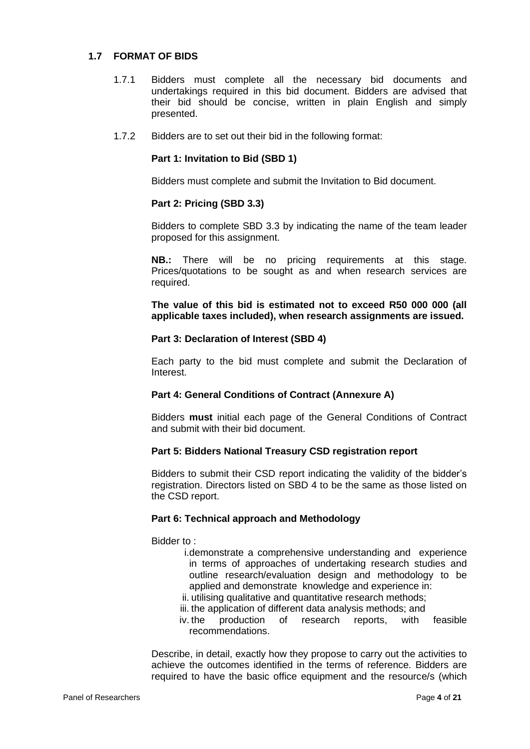### **1.7 FORMAT OF BIDS**

- 1.7.1 Bidders must complete all the necessary bid documents and undertakings required in this bid document. Bidders are advised that their bid should be concise, written in plain English and simply presented.
- 1.7.2 Bidders are to set out their bid in the following format:

#### **Part 1: Invitation to Bid (SBD 1)**

Bidders must complete and submit the Invitation to Bid document.

### **Part 2: Pricing (SBD 3.3)**

Bidders to complete SBD 3.3 by indicating the name of the team leader proposed for this assignment.

**NB.:** There will be no pricing requirements at this stage. Prices/quotations to be sought as and when research services are required.

**The value of this bid is estimated not to exceed R50 000 000 (all applicable taxes included), when research assignments are issued.**

#### **Part 3: Declaration of Interest (SBD 4)**

Each party to the bid must complete and submit the Declaration of Interest.

### **Part 4: General Conditions of Contract (Annexure A)**

Bidders **must** initial each page of the General Conditions of Contract and submit with their bid document.

#### **Part 5: Bidders National Treasury CSD registration report**

Bidders to submit their CSD report indicating the validity of the bidder's registration. Directors listed on SBD 4 to be the same as those listed on the CSD report.

#### **Part 6: Technical approach and Methodology**

Bidder to :

- i.demonstrate a comprehensive understanding and experience in terms of approaches of undertaking research studies and outline research/evaluation design and methodology to be applied and demonstrate knowledge and experience in:
- ii. utilising qualitative and quantitative research methods;
- iii. the application of different data analysis methods; and
- iv. the production of research reports, with feasible recommendations.

Describe, in detail, exactly how they propose to carry out the activities to achieve the outcomes identified in the terms of reference. Bidders are required to have the basic office equipment and the resource/s (which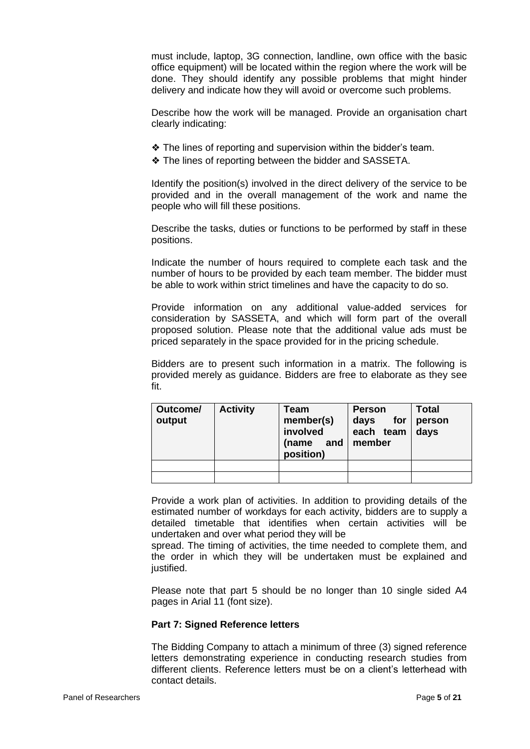must include, laptop, 3G connection, landline, own office with the basic office equipment) will be located within the region where the work will be done. They should identify any possible problems that might hinder delivery and indicate how they will avoid or overcome such problems.

Describe how the work will be managed. Provide an organisation chart clearly indicating:

- ❖ The lines of reporting and supervision within the bidder's team.
- ❖ The lines of reporting between the bidder and SASSETA.

Identify the position(s) involved in the direct delivery of the service to be provided and in the overall management of the work and name the people who will fill these positions.

Describe the tasks, duties or functions to be performed by staff in these positions.

Indicate the number of hours required to complete each task and the number of hours to be provided by each team member. The bidder must be able to work within strict timelines and have the capacity to do so.

Provide information on any additional value-added services for consideration by SASSETA, and which will form part of the overall proposed solution. Please note that the additional value ads must be priced separately in the space provided for in the pricing schedule.

Bidders are to present such information in a matrix. The following is provided merely as guidance. Bidders are free to elaborate as they see fit.

| Outcome/<br>output | <b>Activity</b> | Team<br>member(s)<br>involved<br>(name<br>and<br>position) | <b>Person</b><br>for<br>days<br>each team<br>member | <b>Total</b><br>person<br>days |
|--------------------|-----------------|------------------------------------------------------------|-----------------------------------------------------|--------------------------------|
|                    |                 |                                                            |                                                     |                                |
|                    |                 |                                                            |                                                     |                                |

Provide a work plan of activities. In addition to providing details of the estimated number of workdays for each activity, bidders are to supply a detailed timetable that identifies when certain activities will be undertaken and over what period they will be

spread. The timing of activities, the time needed to complete them, and the order in which they will be undertaken must be explained and justified.

Please note that part 5 should be no longer than 10 single sided A4 pages in Arial 11 (font size).

### **Part 7: Signed Reference letters**

The Bidding Company to attach a minimum of three (3) signed reference letters demonstrating experience in conducting research studies from different clients. Reference letters must be on a client's letterhead with contact details.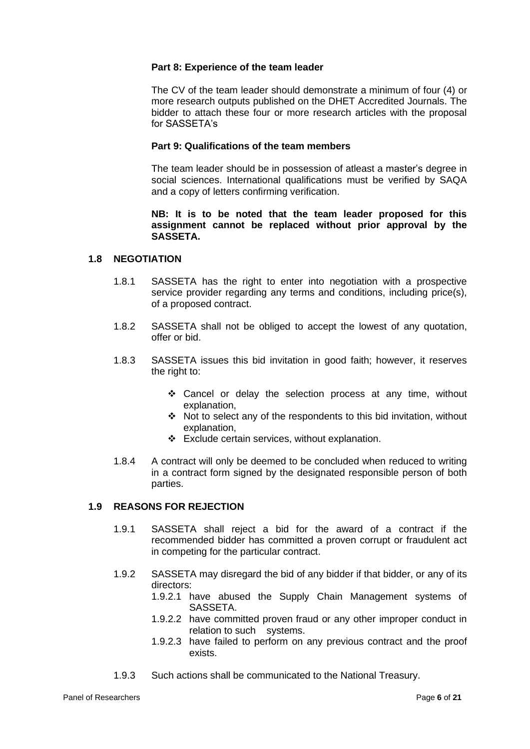#### **Part 8: Experience of the team leader**

The CV of the team leader should demonstrate a minimum of four (4) or more research outputs published on the DHET Accredited Journals. The bidder to attach these four or more research articles with the proposal for SASSETA's

# **Part 9: Qualifications of the team members**

The team leader should be in possession of atleast a master's degree in social sciences. International qualifications must be verified by SAQA and a copy of letters confirming verification.

### **NB: It is to be noted that the team leader proposed for this assignment cannot be replaced without prior approval by the SASSETA.**

### **1.8 NEGOTIATION**

- 1.8.1 SASSETA has the right to enter into negotiation with a prospective service provider regarding any terms and conditions, including price(s), of a proposed contract.
- 1.8.2 SASSETA shall not be obliged to accept the lowest of any quotation, offer or bid.
- 1.8.3 SASSETA issues this bid invitation in good faith; however, it reserves the right to:
	- ❖ Cancel or delay the selection process at any time, without explanation,
	- ❖ Not to select any of the respondents to this bid invitation, without explanation,
	- ❖ Exclude certain services, without explanation.
- 1.8.4 A contract will only be deemed to be concluded when reduced to writing in a contract form signed by the designated responsible person of both parties.

### **1.9 REASONS FOR REJECTION**

- 1.9.1 SASSETA shall reject a bid for the award of a contract if the recommended bidder has committed a proven corrupt or fraudulent act in competing for the particular contract.
- 1.9.2 SASSETA may disregard the bid of any bidder if that bidder, or any of its directors:
	- 1.9.2.1 have abused the Supply Chain Management systems of SASSETA.
	- 1.9.2.2 have committed proven fraud or any other improper conduct in relation to such systems.
	- 1.9.2.3 have failed to perform on any previous contract and the proof exists.
- 1.9.3 Such actions shall be communicated to the National Treasury.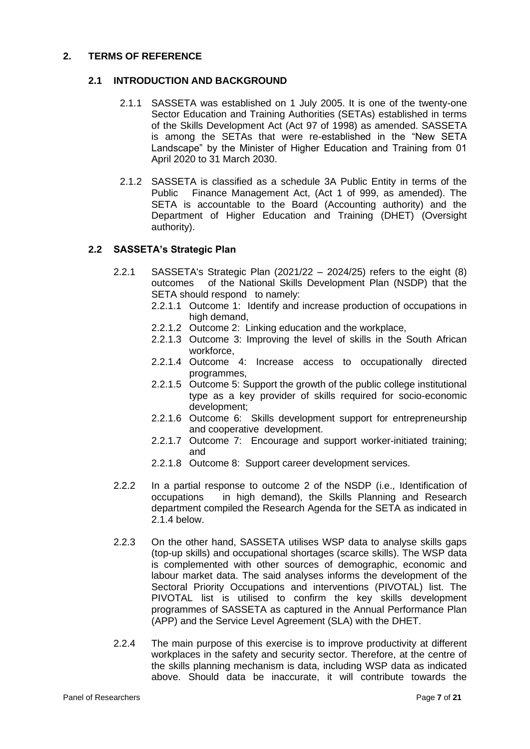### **2. TERMS OF REFERENCE**

### **2.1 INTRODUCTION AND BACKGROUND**

- 2.1.1 SASSETA was established on 1 July 2005. It is one of the twenty-one Sector Education and Training Authorities (SETAs) established in terms of the Skills Development Act (Act 97 of 1998) as amended. SASSETA is among the SETAs that were re-established in the "New SETA Landscape" by the Minister of Higher Education and Training from 01 April 2020 to 31 March 2030.
- 2.1.2 SASSETA is classified as a schedule 3A Public Entity in terms of the Public Finance Management Act, (Act 1 of 999, as amended). The SETA is accountable to the Board (Accounting authority) and the Department of Higher Education and Training (DHET) (Oversight authority).

### **2.2 SASSETA's Strategic Plan**

- 2.2.1 SASSETA's Strategic Plan (2021/22 2024/25) refers to the eight (8) outcomes of the National Skills Development Plan (NSDP) that the SETA should respond to namely:
	- 2.2.1.1 Outcome 1: Identify and increase production of occupations in high demand,
	- 2.2.1.2 Outcome 2: Linking education and the workplace,
	- 2.2.1.3 Outcome 3: Improving the level of skills in the South African workforce,
	- 2.2.1.4 Outcome 4: Increase access to occupationally directed programmes,
	- 2.2.1.5 Outcome 5: Support the growth of the public college institutional type as a key provider of skills required for socio-economic development;
	- 2.2.1.6 Outcome 6: Skills development support for entrepreneurship and cooperative development.
	- 2.2.1.7 Outcome 7: Encourage and support worker-initiated training; and
	- 2.2.1.8 Outcome 8: Support career development services.
- 2.2.2 In a partial response to outcome 2 of the NSDP (i.e., Identification of occupations in high demand), the Skills Planning and Research department compiled the Research Agenda for the SETA as indicated in 2.1.4 below.
- 2.2.3 On the other hand, SASSETA utilises WSP data to analyse skills gaps (top-up skills) and occupational shortages (scarce skills). The WSP data is complemented with other sources of demographic, economic and labour market data. The said analyses informs the development of the Sectoral Priority Occupations and interventions (PIVOTAL) list. The PIVOTAL list is utilised to confirm the key skills development programmes of SASSETA as captured in the Annual Performance Plan (APP) and the Service Level Agreement (SLA) with the DHET.
- 2.2.4 The main purpose of this exercise is to improve productivity at different workplaces in the safety and security sector. Therefore, at the centre of the skills planning mechanism is data, including WSP data as indicated above. Should data be inaccurate, it will contribute towards the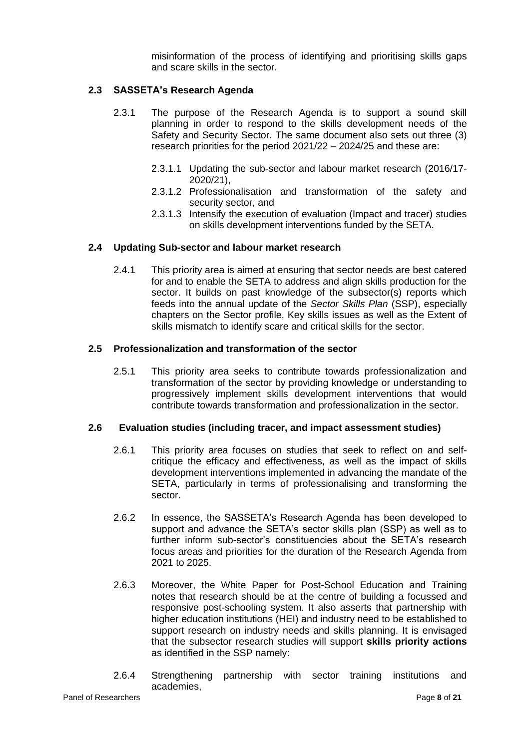misinformation of the process of identifying and prioritising skills gaps and scare skills in the sector.

# **2.3 SASSETA's Research Agenda**

- 2.3.1 The purpose of the Research Agenda is to support a sound skill planning in order to respond to the skills development needs of the Safety and Security Sector. The same document also sets out three (3) research priorities for the period 2021/22 – 2024/25 and these are:
	- 2.3.1.1 Updating the sub-sector and labour market research (2016/17- 2020/21),
	- 2.3.1.2 Professionalisation and transformation of the safety and security sector, and
	- 2.3.1.3 Intensify the execution of evaluation (Impact and tracer) studies on skills development interventions funded by the SETA.

### **2.4 Updating Sub-sector and labour market research**

2.4.1 This priority area is aimed at ensuring that sector needs are best catered for and to enable the SETA to address and align skills production for the sector. It builds on past knowledge of the subsector(s) reports which feeds into the annual update of the *Sector Skills Plan* (SSP), especially chapters on the Sector profile, Key skills issues as well as the Extent of skills mismatch to identify scare and critical skills for the sector.

#### **2.5 Professionalization and transformation of the sector**

2.5.1 This priority area seeks to contribute towards professionalization and transformation of the sector by providing knowledge or understanding to progressively implement skills development interventions that would contribute towards transformation and professionalization in the sector.

#### **2.6 Evaluation studies (including tracer, and impact assessment studies)**

- 2.6.1 This priority area focuses on studies that seek to reflect on and selfcritique the efficacy and effectiveness, as well as the impact of skills development interventions implemented in advancing the mandate of the SETA, particularly in terms of professionalising and transforming the sector.
- 2.6.2 In essence, the SASSETA's Research Agenda has been developed to support and advance the SETA's sector skills plan (SSP) as well as to further inform sub-sector's constituencies about the SETA's research focus areas and priorities for the duration of the Research Agenda from 2021 to 2025.
- 2.6.3 Moreover, the White Paper for Post-School Education and Training notes that research should be at the centre of building a focussed and responsive post-schooling system. It also asserts that partnership with higher education institutions (HEI) and industry need to be established to support research on industry needs and skills planning. It is envisaged that the subsector research studies will support **skills priority actions**  as identified in the SSP namely:
- 2.6.4 Strengthening partnership with sector training institutions and academies,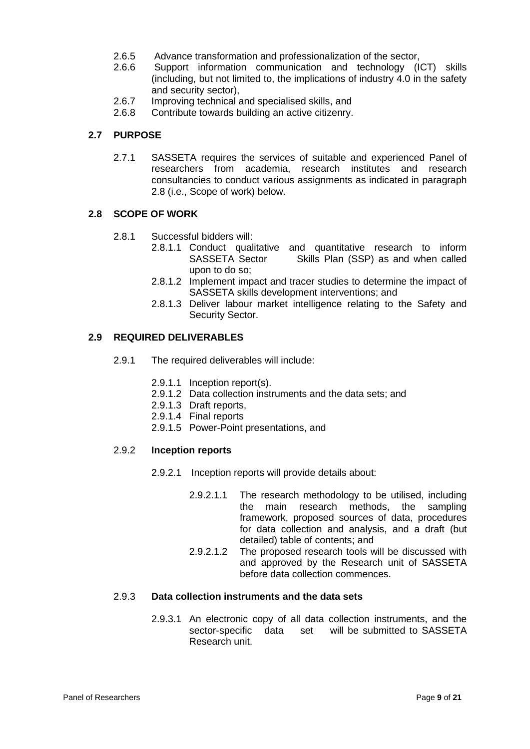- 2.6.5 Advance transformation and professionalization of the sector,
- 2.6.6 Support information communication and technology (ICT) skills (including, but not limited to, the implications of industry 4.0 in the safety and security sector),
- 2.6.7 Improving technical and specialised skills, and
- 2.6.8 Contribute towards building an active citizenry.

#### **2.7 PURPOSE**

2.7.1 SASSETA requires the services of suitable and experienced Panel of researchers from academia, research institutes and research consultancies to conduct various assignments as indicated in paragraph 2.8 (i.e., Scope of work) below.

### **2.8 SCOPE OF WORK**

- 2.8.1 Successful bidders will:
	- 2.8.1.1 Conduct qualitative and quantitative research to inform<br>SASSETA Sector Skills Plan (SSP) as and when called Skills Plan (SSP) as and when called upon to do so;
	- 2.8.1.2 Implement impact and tracer studies to determine the impact of SASSETA skills development interventions; and
	- 2.8.1.3 Deliver labour market intelligence relating to the Safety and Security Sector.

### **2.9 REQUIRED DELIVERABLES**

- 2.9.1 The required deliverables will include:
	- 2.9.1.1 Inception report(s).
	- 2.9.1.2 Data collection instruments and the data sets; and
	- 2.9.1.3 Draft reports,
	- 2.9.1.4 Final reports
	- 2.9.1.5 Power-Point presentations, and

#### 2.9.2 **Inception reports**

- 2.9.2.1 Inception reports will provide details about:
	- 2.9.2.1.1 The research methodology to be utilised, including the main research methods, the sampling framework, proposed sources of data, procedures for data collection and analysis, and a draft (but detailed) table of contents; and
	- 2.9.2.1.2 The proposed research tools will be discussed with and approved by the Research unit of SASSETA before data collection commences.

#### 2.9.3 **Data collection instruments and the data sets**

2.9.3.1 An electronic copy of all data collection instruments, and the sector-specific data set will be submitted to SASSETA Research unit.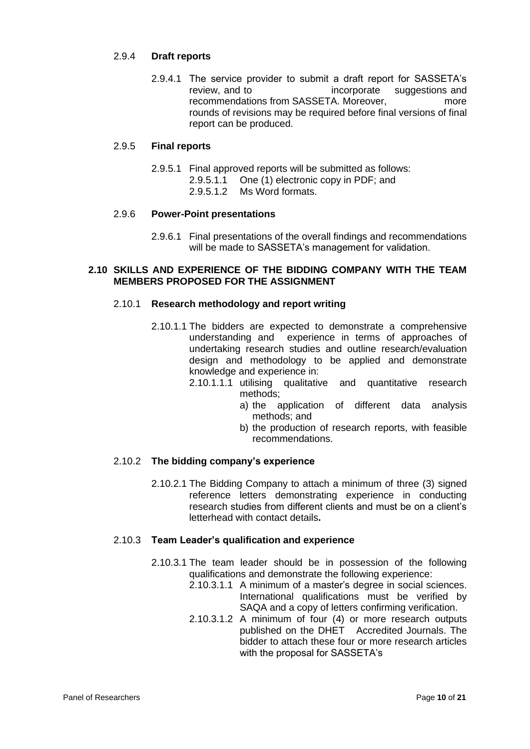### 2.9.4 **Draft reports**

2.9.4.1 The service provider to submit a draft report for SASSETA's review, and to incorporate suggestions and recommendations from SASSETA. Moreover, more rounds of revisions may be required before final versions of final report can be produced.

### 2.9.5 **Final reports**

2.9.5.1 Final approved reports will be submitted as follows: 2.9.5.1.1 One (1) electronic copy in PDF; and 2.9.5.1.2 Ms Word formats.

### 2.9.6 **Power-Point presentations**

2.9.6.1 Final presentations of the overall findings and recommendations will be made to SASSETA's management for validation.

### **2.10 SKILLS AND EXPERIENCE OF THE BIDDING COMPANY WITH THE TEAM MEMBERS PROPOSED FOR THE ASSIGNMENT**

#### 2.10.1 **Research methodology and report writing**

- 2.10.1.1 The bidders are expected to demonstrate a comprehensive understanding and experience in terms of approaches of undertaking research studies and outline research/evaluation design and methodology to be applied and demonstrate knowledge and experience in:
	- 2.10.1.1.1 utilising qualitative and quantitative research methods;
		- a) the application of different data analysis methods; and
		- b) the production of research reports, with feasible recommendations.

#### 2.10.2 **The bidding company's experience**

2.10.2.1 The Bidding Company to attach a minimum of three (3) signed reference letters demonstrating experience in conducting research studies from different clients and must be on a client's letterhead with contact details**.**

### 2.10.3 **Team Leader's qualification and experience**

- 2.10.3.1 The team leader should be in possession of the following qualifications and demonstrate the following experience:
	- 2.10.3.1.1 A minimum of a master's degree in social sciences. International qualifications must be verified by SAQA and a copy of letters confirming verification.
	- 2.10.3.1.2 A minimum of four (4) or more research outputs published on the DHET Accredited Journals. The bidder to attach these four or more research articles with the proposal for SASSETA's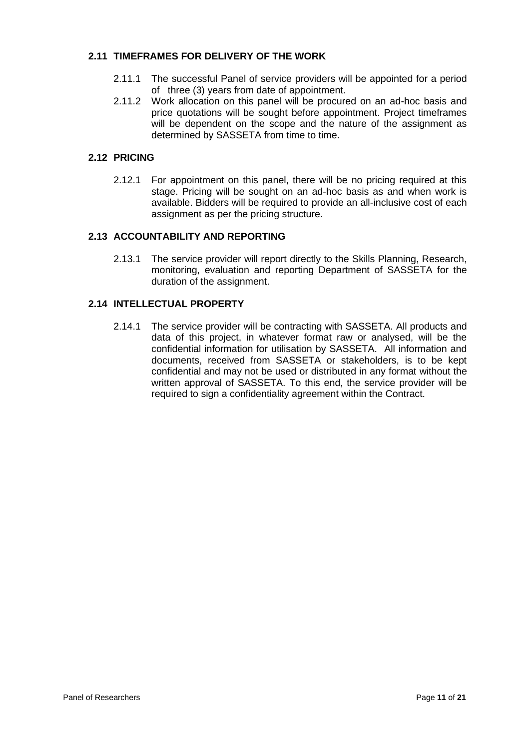### **2.11 TIMEFRAMES FOR DELIVERY OF THE WORK**

- 2.11.1 The successful Panel of service providers will be appointed for a period of three (3) years from date of appointment.
- 2.11.2 Work allocation on this panel will be procured on an ad-hoc basis and price quotations will be sought before appointment. Project timeframes will be dependent on the scope and the nature of the assignment as determined by SASSETA from time to time.

# **2.12 PRICING**

2.12.1 For appointment on this panel, there will be no pricing required at this stage. Pricing will be sought on an ad-hoc basis as and when work is available. Bidders will be required to provide an all-inclusive cost of each assignment as per the pricing structure.

### **2.13 ACCOUNTABILITY AND REPORTING**

2.13.1 The service provider will report directly to the Skills Planning, Research, monitoring, evaluation and reporting Department of SASSETA for the duration of the assignment.

### **2.14 INTELLECTUAL PROPERTY**

2.14.1 The service provider will be contracting with SASSETA. All products and data of this project, in whatever format raw or analysed, will be the confidential information for utilisation by SASSETA. All information and documents, received from SASSETA or stakeholders, is to be kept confidential and may not be used or distributed in any format without the written approval of SASSETA. To this end, the service provider will be required to sign a confidentiality agreement within the Contract.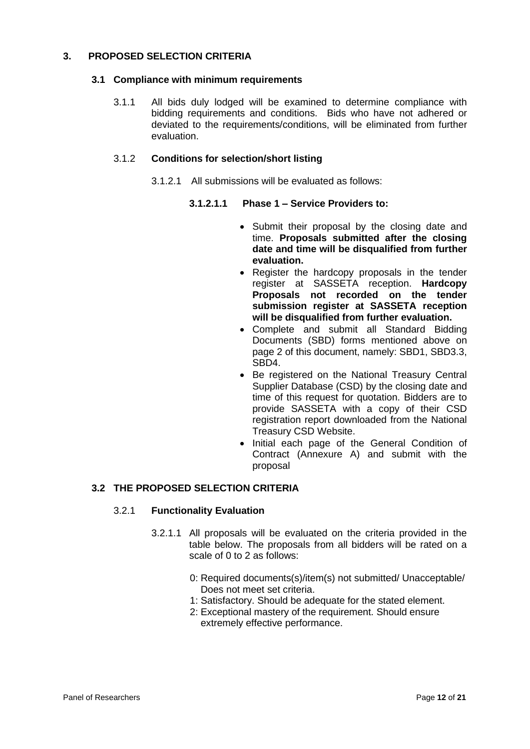# **3. PROPOSED SELECTION CRITERIA**

### **3.1 Compliance with minimum requirements**

3.1.1 All bids duly lodged will be examined to determine compliance with bidding requirements and conditions. Bids who have not adhered or deviated to the requirements/conditions, will be eliminated from further evaluation.

### 3.1.2 **Conditions for selection/short listing**

3.1.2.1 All submissions will be evaluated as follows:

### **3.1.2.1.1 Phase 1 – Service Providers to:**

- Submit their proposal by the closing date and time. **Proposals submitted after the closing date and time will be disqualified from further evaluation.**
- Register the hardcopy proposals in the tender register at SASSETA reception. **Hardcopy Proposals not recorded on the tender submission register at SASSETA reception will be disqualified from further evaluation.**
- Complete and submit all Standard Bidding Documents (SBD) forms mentioned above on page 2 of this document, namely: SBD1, SBD3.3, SBD4.
- Be registered on the National Treasury Central Supplier Database (CSD) by the closing date and time of this request for quotation. Bidders are to provide SASSETA with a copy of their CSD registration report downloaded from the National Treasury CSD Website.
- Initial each page of the General Condition of Contract (Annexure A) and submit with the proposal

### **3.2 THE PROPOSED SELECTION CRITERIA**

#### 3.2.1 **Functionality Evaluation**

- 3.2.1.1 All proposals will be evaluated on the criteria provided in the table below. The proposals from all bidders will be rated on a scale of 0 to 2 as follows:
	- 0: Required documents(s)/item(s) not submitted/ Unacceptable/ Does not meet set criteria.
	- 1: Satisfactory. Should be adequate for the stated element.
	- 2: Exceptional mastery of the requirement. Should ensure extremely effective performance.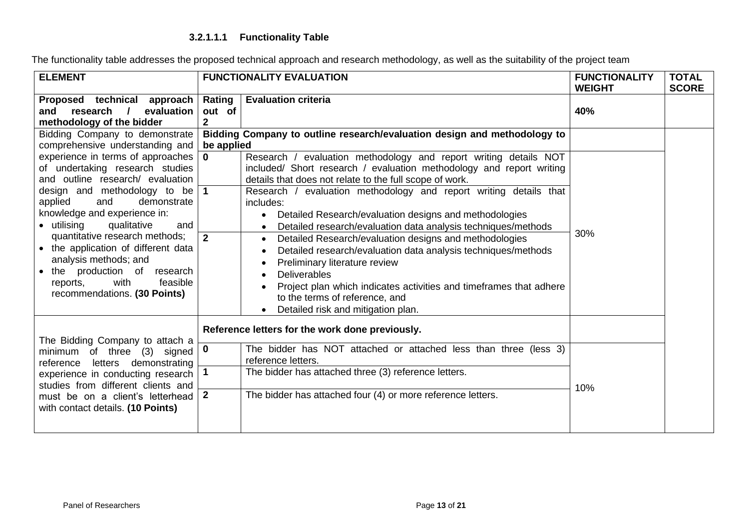# **3.2.1.1.1 Functionality Table**

The functionality table addresses the proposed technical approach and research methodology, as well as the suitability of the project team

| <b>ELEMENT</b>                                                                                                                                                                                                                                                                                                                                                                                                                                   |                                                 | <b>FUNCTIONALITY EVALUATION</b>                                                                                                                                                                                                                                                                                                                                                                                                                                                                                                                                                                                                                                                                                                                                             | <b>FUNCTIONALITY</b><br><b>WEIGHT</b> | <b>TOTAL</b><br><b>SCORE</b> |
|--------------------------------------------------------------------------------------------------------------------------------------------------------------------------------------------------------------------------------------------------------------------------------------------------------------------------------------------------------------------------------------------------------------------------------------------------|-------------------------------------------------|-----------------------------------------------------------------------------------------------------------------------------------------------------------------------------------------------------------------------------------------------------------------------------------------------------------------------------------------------------------------------------------------------------------------------------------------------------------------------------------------------------------------------------------------------------------------------------------------------------------------------------------------------------------------------------------------------------------------------------------------------------------------------------|---------------------------------------|------------------------------|
| Proposed technical approach<br>evaluation<br>research<br>and<br>$\prime$<br>methodology of the bidder                                                                                                                                                                                                                                                                                                                                            | Rating<br>out of<br>$\mathbf{2}$                | <b>Evaluation criteria</b>                                                                                                                                                                                                                                                                                                                                                                                                                                                                                                                                                                                                                                                                                                                                                  | 40%                                   |                              |
| Bidding Company to demonstrate<br>comprehensive understanding and                                                                                                                                                                                                                                                                                                                                                                                | be applied                                      | Bidding Company to outline research/evaluation design and methodology to                                                                                                                                                                                                                                                                                                                                                                                                                                                                                                                                                                                                                                                                                                    |                                       |                              |
| experience in terms of approaches<br>of undertaking research studies<br>and outline research/ evaluation<br>design and methodology to be<br>and<br>demonstrate<br>applied<br>knowledge and experience in:<br>• utilising<br>qualitative<br>and<br>quantitative research methods;<br>• the application of different data<br>analysis methods; and<br>• the production of research<br>with<br>feasible<br>reports,<br>recommendations. (30 Points) | $\mathbf 0$<br>$\overline{1}$<br>$\overline{2}$ | Research / evaluation methodology and report writing details NOT<br>included/ Short research / evaluation methodology and report writing<br>details that does not relate to the full scope of work.<br>Research / evaluation methodology and report writing details that<br>includes:<br>Detailed Research/evaluation designs and methodologies<br>Detailed research/evaluation data analysis techniques/methods<br>Detailed Research/evaluation designs and methodologies<br>$\bullet$<br>Detailed research/evaluation data analysis techniques/methods<br>Preliminary literature review<br><b>Deliverables</b><br>$\bullet$<br>Project plan which indicates activities and timeframes that adhere<br>to the terms of reference, and<br>Detailed risk and mitigation plan. | 30%                                   |                              |
| Reference letters for the work done previously.<br>The Bidding Company to attach a                                                                                                                                                                                                                                                                                                                                                               |                                                 |                                                                                                                                                                                                                                                                                                                                                                                                                                                                                                                                                                                                                                                                                                                                                                             |                                       |                              |
| minimum of three (3) signed<br>letters demonstrating<br>reference                                                                                                                                                                                                                                                                                                                                                                                | 0<br>1                                          | The bidder has NOT attached or attached less than three (less 3)<br>reference letters.<br>The bidder has attached three (3) reference letters.                                                                                                                                                                                                                                                                                                                                                                                                                                                                                                                                                                                                                              |                                       |                              |
| experience in conducting research<br>studies from different clients and<br>must be on a client's letterhead<br>with contact details. (10 Points)                                                                                                                                                                                                                                                                                                 | $\overline{2}$                                  | The bidder has attached four (4) or more reference letters.                                                                                                                                                                                                                                                                                                                                                                                                                                                                                                                                                                                                                                                                                                                 | 10%                                   |                              |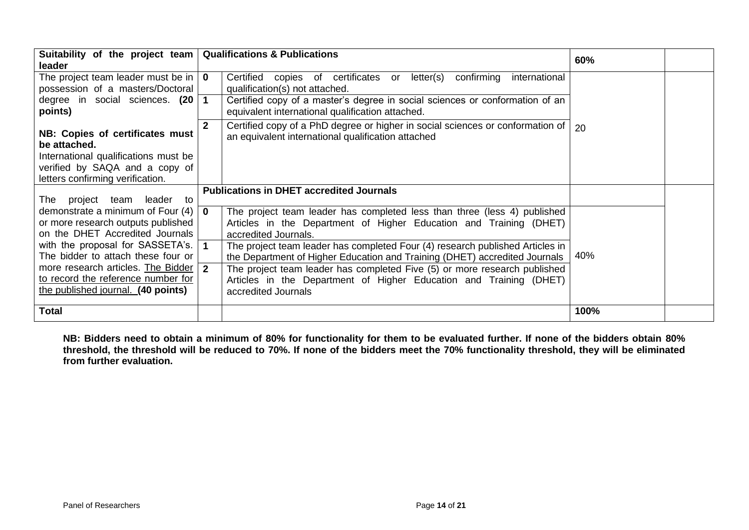| Suitability of the project team   Qualifications & Publications<br>leader                                                                                     |                                                                                                                                                                                                                                                                                                                                                                           | 60%  |
|---------------------------------------------------------------------------------------------------------------------------------------------------------------|---------------------------------------------------------------------------------------------------------------------------------------------------------------------------------------------------------------------------------------------------------------------------------------------------------------------------------------------------------------------------|------|
| The project team leader must be in $\vert \mathbf{0} \vert$<br>possession of a masters/Doctoral<br>degree in social sciences. (20<br>points)                  | Certified<br>copies of certificates or letter(s)<br>confirming<br>international<br>qualification(s) not attached.<br>Certified copy of a master's degree in social sciences or conformation of an<br>1<br>equivalent international qualification attached.<br>Certified copy of a PhD degree or higher in social sciences or conformation of $ 20\rangle$<br>$\mathbf{2}$ |      |
| NB: Copies of certificates must<br>be attached.<br>International qualifications must be<br>verified by SAQA and a copy of<br>letters confirming verification. | an equivalent international qualification attached                                                                                                                                                                                                                                                                                                                        |      |
| project team leader to<br>⊤he                                                                                                                                 | <b>Publications in DHET accredited Journals</b>                                                                                                                                                                                                                                                                                                                           |      |
| demonstrate a minimum of Four (4)<br>or more research outputs published<br>on the DHET Accredited Journals                                                    | The project team leader has completed less than three (less 4) published<br>$\mathbf{0}$<br>Articles in the Department of Higher Education and Training (DHET)<br>accredited Journals.                                                                                                                                                                                    |      |
| with the proposal for SASSETA's.<br>The bidder to attach these four or                                                                                        | The project team leader has completed Four (4) research published Articles in<br>the Department of Higher Education and Training (DHET) accredited Journals                                                                                                                                                                                                               | 40%  |
| more research articles. The Bidder<br>to record the reference number for<br>the published journal. (40 points)                                                | $\overline{2}$<br>The project team leader has completed Five (5) or more research published<br>Articles in the Department of Higher Education and Training (DHET)<br>accredited Journals                                                                                                                                                                                  |      |
| <b>Total</b>                                                                                                                                                  |                                                                                                                                                                                                                                                                                                                                                                           | 100% |

**NB: Bidders need to obtain a minimum of 80% for functionality for them to be evaluated further. If none of the bidders obtain 80% threshold, the threshold will be reduced to 70%. If none of the bidders meet the 70% functionality threshold, they will be eliminated from further evaluation.**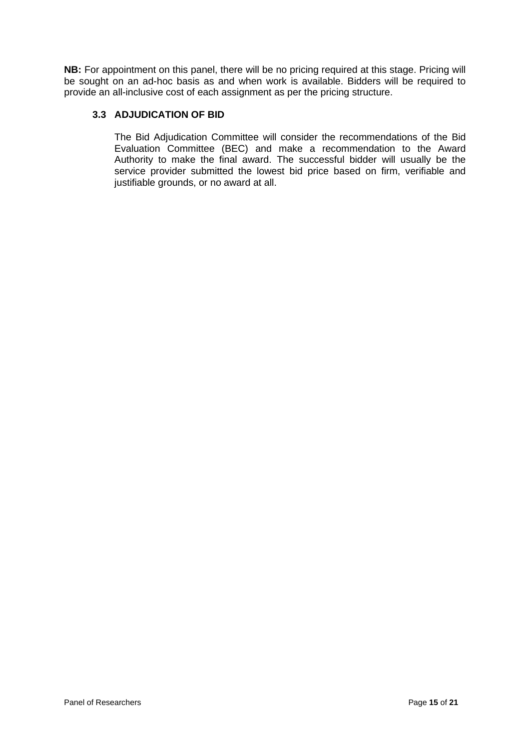**NB:** For appointment on this panel, there will be no pricing required at this stage. Pricing will be sought on an ad-hoc basis as and when work is available. Bidders will be required to provide an all-inclusive cost of each assignment as per the pricing structure.

# **3.3 ADJUDICATION OF BID**

The Bid Adjudication Committee will consider the recommendations of the Bid Evaluation Committee (BEC) and make a recommendation to the Award Authority to make the final award. The successful bidder will usually be the service provider submitted the lowest bid price based on firm, verifiable and justifiable grounds, or no award at all.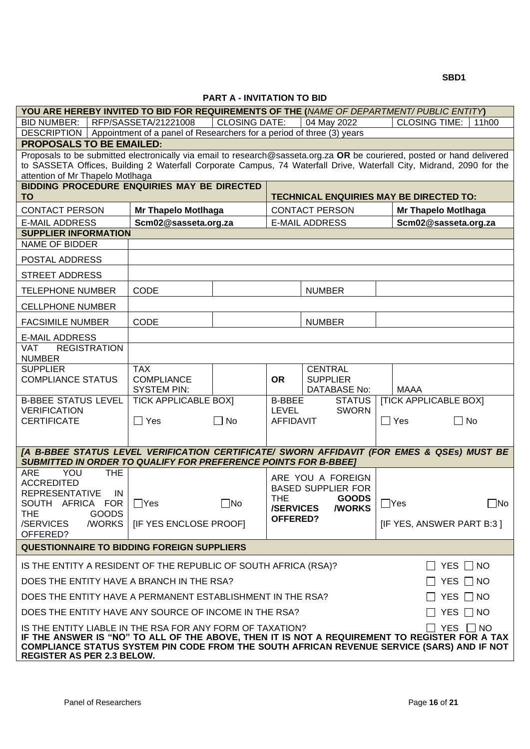**SBD1** 

#### **PART A - INVITATION TO BID**

| YOU ARE HEREBY INVITED TO BID FOR REQUIREMENTS OF THE (NAME OF DEPARTMENT/ PUBLIC ENTITY)                                                                                                                                                                                                                 |                                         |                      |                  |                                                |            |                                                |  |
|-----------------------------------------------------------------------------------------------------------------------------------------------------------------------------------------------------------------------------------------------------------------------------------------------------------|-----------------------------------------|----------------------|------------------|------------------------------------------------|------------|------------------------------------------------|--|
| BID NUMBER:   RFP/SASSETA/21221008                                                                                                                                                                                                                                                                        |                                         | <b>CLOSING DATE:</b> |                  | 04 May 2022                                    |            | <b>CLOSING TIME:</b><br>11h00                  |  |
| DESCRIPTION   Appointment of a panel of Researchers for a period of three (3) years                                                                                                                                                                                                                       |                                         |                      |                  |                                                |            |                                                |  |
| <b>PROPOSALS TO BE EMAILED:</b>                                                                                                                                                                                                                                                                           |                                         |                      |                  |                                                |            |                                                |  |
| Proposals to be submitted electronically via email to research@sasseta.org.za OR be couriered, posted or hand delivered<br>to SASSETA Offices, Building 2 Waterfall Corporate Campus, 74 Waterfall Drive, Waterfall City, Midrand, 2090 for the<br>attention of Mr Thapelo Motlhaga                       |                                         |                      |                  |                                                |            |                                                |  |
| <b>BIDDING PROCEDURE ENQUIRIES MAY BE DIRECTED</b><br><b>TO</b>                                                                                                                                                                                                                                           |                                         |                      |                  |                                                |            | <b>TECHNICAL ENQUIRIES MAY BE DIRECTED TO:</b> |  |
| <b>CONTACT PERSON</b>                                                                                                                                                                                                                                                                                     | <b>Mr Thapelo Motlhaga</b>              |                      |                  | <b>CONTACT PERSON</b>                          |            | <b>Mr Thapelo Motlhaga</b>                     |  |
| <b>E-MAIL ADDRESS</b>                                                                                                                                                                                                                                                                                     | Scm02@sasseta.org.za                    |                      |                  | <b>E-MAIL ADDRESS</b>                          |            | Scm02@sasseta.org.za                           |  |
| <b>SUPPLIER INFORMATION</b>                                                                                                                                                                                                                                                                               |                                         |                      |                  |                                                |            |                                                |  |
| <b>NAME OF BIDDER</b>                                                                                                                                                                                                                                                                                     |                                         |                      |                  |                                                |            |                                                |  |
| POSTAL ADDRESS                                                                                                                                                                                                                                                                                            |                                         |                      |                  |                                                |            |                                                |  |
| <b>STREET ADDRESS</b>                                                                                                                                                                                                                                                                                     |                                         |                      |                  |                                                |            |                                                |  |
| <b>TELEPHONE NUMBER</b>                                                                                                                                                                                                                                                                                   | <b>CODE</b>                             |                      |                  | <b>NUMBER</b>                                  |            |                                                |  |
| <b>CELLPHONE NUMBER</b>                                                                                                                                                                                                                                                                                   |                                         |                      |                  |                                                |            |                                                |  |
| <b>FACSIMILE NUMBER</b>                                                                                                                                                                                                                                                                                   | <b>CODE</b>                             |                      |                  | <b>NUMBER</b>                                  |            |                                                |  |
| <b>E-MAIL ADDRESS</b>                                                                                                                                                                                                                                                                                     |                                         |                      |                  |                                                |            |                                                |  |
| <b>VAT</b><br><b>REGISTRATION</b><br><b>NUMBER</b>                                                                                                                                                                                                                                                        |                                         |                      |                  |                                                |            |                                                |  |
| <b>SUPPLIER</b>                                                                                                                                                                                                                                                                                           | <b>TAX</b>                              |                      |                  | <b>CENTRAL</b>                                 |            |                                                |  |
| <b>COMPLIANCE STATUS</b>                                                                                                                                                                                                                                                                                  | <b>COMPLIANCE</b><br><b>SYSTEM PIN:</b> |                      | <b>OR</b>        | <b>SUPPLIER</b><br><b>DATABASE No:</b>         |            | <b>MAAA</b>                                    |  |
| <b>B-BBEE STATUS LEVEL</b>                                                                                                                                                                                                                                                                                | <b>TICK APPLICABLE BOXI</b>             |                      | <b>B-BBEE</b>    | <b>STATUS</b>                                  |            | <b>[TICK APPLICABLE BOX]</b>                   |  |
| <b>VERIFICATION</b>                                                                                                                                                                                                                                                                                       |                                         |                      | LEVEL            | <b>SWORN</b>                                   |            |                                                |  |
| <b>CERTIFICATE</b>                                                                                                                                                                                                                                                                                        | $\Box$ Yes                              | $\Box$ No            | <b>AFFIDAVIT</b> |                                                | $\Box$ Yes | $\Box$ No                                      |  |
|                                                                                                                                                                                                                                                                                                           |                                         |                      |                  |                                                |            |                                                |  |
| [A B-BBEE STATUS LEVEL VERIFICATION CERTIFICATE/ SWORN AFFIDAVIT (FOR EMES & QSEs) MUST BE<br><b>SUBMITTED IN ORDER TO QUALIFY FOR PREFERENCE POINTS FOR B-BBEE]</b>                                                                                                                                      |                                         |                      |                  |                                                |            |                                                |  |
| <b>ARE</b><br>YOU<br><b>THE</b>                                                                                                                                                                                                                                                                           |                                         |                      |                  |                                                |            |                                                |  |
| <b>ACCREDITED</b>                                                                                                                                                                                                                                                                                         |                                         |                      |                  | ARE YOU A FOREIGN<br><b>BASED SUPPLIER FOR</b> |            |                                                |  |
| <b>REPRESENTATIVE</b><br>IN                                                                                                                                                                                                                                                                               |                                         |                      | <b>THE</b>       | <b>GOODS</b>                                   |            |                                                |  |
| SOUTH AFRICA FOR   □ Yes<br><b>THE</b><br><b>GOODS</b>                                                                                                                                                                                                                                                    |                                         | $\square$ No         | <b>/SERVICES</b> | <b>/WORKS</b>                                  | $\Box$ Yes | $\square$ No                                   |  |
| /WORKS<br>/SERVICES                                                                                                                                                                                                                                                                                       | <b>IF YES ENCLOSE PROOFI</b>            |                      | <b>OFFERED?</b>  |                                                |            | [IF YES, ANSWER PART B:3]                      |  |
| OFFERED?<br><b>QUESTIONNAIRE TO BIDDING FOREIGN SUPPLIERS</b>                                                                                                                                                                                                                                             |                                         |                      |                  |                                                |            |                                                |  |
|                                                                                                                                                                                                                                                                                                           |                                         |                      |                  |                                                |            |                                                |  |
| IS THE ENTITY A RESIDENT OF THE REPUBLIC OF SOUTH AFRICA (RSA)?                                                                                                                                                                                                                                           |                                         |                      |                  |                                                |            | YES $\Box$ NO<br>$\mathbf{1}$                  |  |
| YES $\Box$ NO<br>DOES THE ENTITY HAVE A BRANCH IN THE RSA?<br>$\mathbf{1}$                                                                                                                                                                                                                                |                                         |                      |                  |                                                |            |                                                |  |
| DOES THE ENTITY HAVE A PERMANENT ESTABLISHMENT IN THE RSA?                                                                                                                                                                                                                                                |                                         |                      |                  |                                                |            | YES $\Box$ NO                                  |  |
| DOES THE ENTITY HAVE ANY SOURCE OF INCOME IN THE RSA?                                                                                                                                                                                                                                                     |                                         |                      |                  |                                                |            | YES $\Box$ NO                                  |  |
| YES □ NO<br>IS THE ENTITY LIABLE IN THE RSA FOR ANY FORM OF TAXATION?<br>IF THE ANSWER IS "NO" TO ALL OF THE ABOVE, THEN IT IS NOT A REQUIREMENT TO REGISTER FOR A TAX<br>COMPLIANCE STATUS SYSTEM PIN CODE FROM THE SOUTH AFRICAN REVENUE SERVICE (SARS) AND IF NOT<br><b>REGISTER AS PER 2.3 BELOW.</b> |                                         |                      |                  |                                                |            |                                                |  |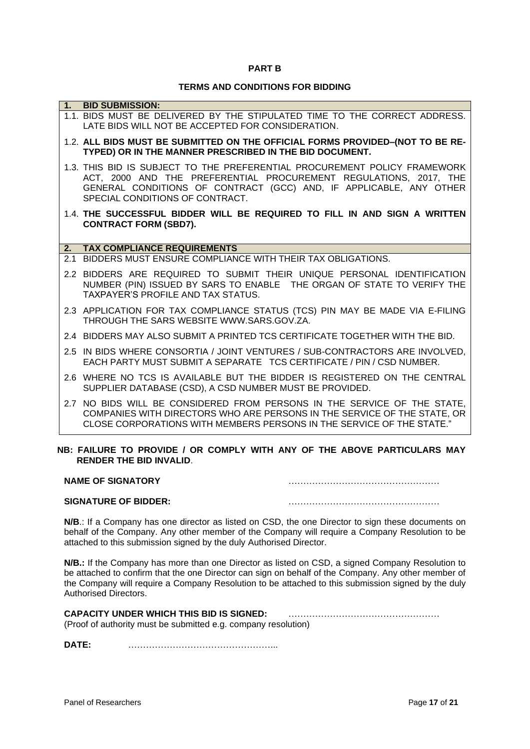#### **PART B**

#### **TERMS AND CONDITIONS FOR BIDDING**

| 1. | <b>BID SUBMISSION:</b>                                                                                                                                                                                                                                  |
|----|---------------------------------------------------------------------------------------------------------------------------------------------------------------------------------------------------------------------------------------------------------|
|    | 1.1. BIDS MUST BE DELIVERED BY THE STIPULATED TIME TO THE CORRECT ADDRESS.<br>LATE BIDS WILL NOT BE ACCEPTED FOR CONSIDERATION.                                                                                                                         |
|    | 1.2. ALL BIDS MUST BE SUBMITTED ON THE OFFICIAL FORMS PROVIDED-(NOT TO BE RE-<br>TYPED) OR IN THE MANNER PRESCRIBED IN THE BID DOCUMENT.                                                                                                                |
|    | 1.3. THIS BID IS SUBJECT TO THE PREFERENTIAL PROCUREMENT POLICY FRAMEWORK<br>ACT, 2000 AND THE PREFERENTIAL PROCUREMENT REGULATIONS, 2017, THE<br>GENERAL CONDITIONS OF CONTRACT (GCC) AND, IF APPLICABLE, ANY OTHER<br>SPECIAL CONDITIONS OF CONTRACT. |
|    | 1.4. THE SUCCESSFUL BIDDER WILL BE REQUIRED TO FILL IN AND SIGN A WRITTEN<br><b>CONTRACT FORM (SBD7).</b>                                                                                                                                               |
| 2. | <b>TAX COMPLIANCE REQUIREMENTS</b>                                                                                                                                                                                                                      |
|    | 2.1 BIDDERS MUST ENSURE COMPLIANCE WITH THEIR TAX OBLIGATIONS.                                                                                                                                                                                          |
|    | 2.2 BIDDERS ARE REQUIRED TO SUBMIT THEIR UNIQUE PERSONAL IDENTIFICATION<br>NUMBER (PIN) ISSUED BY SARS TO ENABLE THE ORGAN OF STATE TO VERIFY THE<br>TAXPAYER'S PROFILE AND TAX STATUS.                                                                 |
|    | 2.3 APPLICATION FOR TAX COMPLIANCE STATUS (TCS) PIN MAY BE MADE VIA E-FILING<br>THROUGH THE SARS WEBSITE WWW.SARS.GOV.ZA.                                                                                                                               |
|    | 2.4 BIDDERS MAY ALSO SUBMIT A PRINTED TCS CERTIFICATE TOGETHER WITH THE BID.                                                                                                                                                                            |
|    | 2.5 IN BIDS WHERE CONSORTIA / JOINT VENTURES / SUB-CONTRACTORS ARE INVOLVED,<br>EACH PARTY MUST SUBMIT A SEPARATE TCS CERTIFICATE / PIN / CSD NUMBER.                                                                                                   |
|    | 2.6 WHERE NO TCS IS AVAILABLE BUT THE BIDDER IS REGISTERED ON THE CENTRAL<br>SUPPLIER DATABASE (CSD), A CSD NUMBER MUST BE PROVIDED.                                                                                                                    |
|    | 2.7 NO BIDS WILL BE CONSIDERED FROM PERSONS IN THE SERVICE OF THE STATE,                                                                                                                                                                                |
|    | COMPANIES WITH DIRECTORS WHO ARE PERSONS IN THE SERVICE OF THE STATE, OR<br>CLOSE CORPORATIONS WITH MEMBERS PERSONS IN THE SERVICE OF THE STATE."                                                                                                       |

#### **NB: FAILURE TO PROVIDE / OR COMPLY WITH ANY OF THE ABOVE PARTICULARS MAY RENDER THE BID INVALID**.

| <b>NAME OF SIGNATORY</b>    |  |
|-----------------------------|--|
| <b>SIGNATURE OF BIDDER:</b> |  |

**N/B**.: If a Company has one director as listed on CSD, the one Director to sign these documents on behalf of the Company. Any other member of the Company will require a Company Resolution to be attached to this submission signed by the duly Authorised Director.

**N/B.:** If the Company has more than one Director as listed on CSD, a signed Company Resolution to be attached to confirm that the one Director can sign on behalf of the Company. Any other member of the Company will require a Company Resolution to be attached to this submission signed by the duly Authorised Directors.

| <b>CAPACITY UNDER WHICH THIS BID IS SIGNED:</b>                |  |
|----------------------------------------------------------------|--|
| (Proof of authority must be submitted e.g. company resolution) |  |

**DATE:** …………………………………………...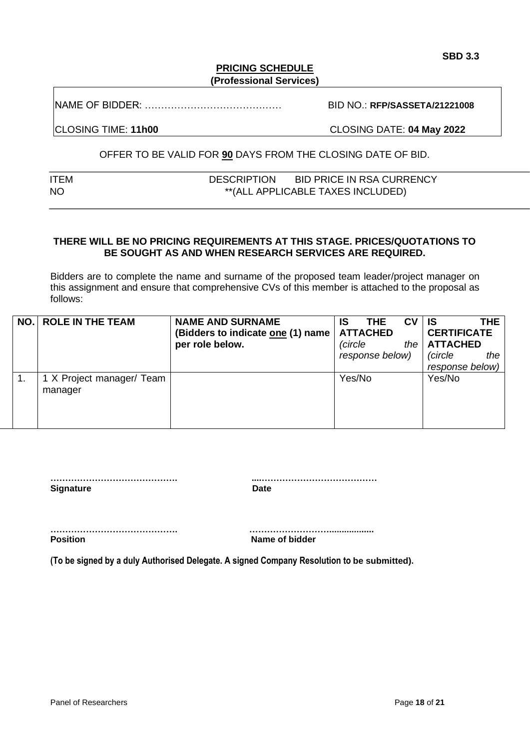### **PRICING SCHEDULE (Professional Services)**

NAME OF BIDDER: …………………………………… BID NO.: **RFP/SASSETA/21221008**

CLOSING TIME: **11h00** CLOSING DATE: **04 May 2022**

# OFFER TO BE VALID FOR **90** DAYS FROM THE CLOSING DATE OF BID.

| ITEM      | <b>DESCRIPTION</b> | <b>BID PRICE IN RSA CURRENCY</b>  |
|-----------|--------------------|-----------------------------------|
| <b>NO</b> |                    | **(ALL APPLICABLE TAXES INCLUDED) |

# **THERE WILL BE NO PRICING REQUIREMENTS AT THIS STAGE. PRICES/QUOTATIONS TO BE SOUGHT AS AND WHEN RESEARCH SERVICES ARE REQUIRED.**

Bidders are to complete the name and surname of the proposed team leader/project manager on this assignment and ensure that comprehensive CVs of this member is attached to the proposal as follows:

| NO.I | <b>ROLE IN THE TEAM</b>   | <b>NAME AND SURNAME</b>           | IS      | <b>THE</b>      | <b>CV</b> | ∣ IS               | THE I |
|------|---------------------------|-----------------------------------|---------|-----------------|-----------|--------------------|-------|
|      |                           | (Bidders to indicate one (1) name |         | <b>ATTACHED</b> |           | <b>CERTIFICATE</b> |       |
|      |                           | per role below.                   | (circle |                 | the       | <b>ATTACHED</b>    |       |
|      |                           |                                   |         | response below) |           | (circle            | the   |
|      |                           |                                   |         |                 |           | response below)    |       |
|      | 1 X Project manager/ Team |                                   | Yes/No  |                 |           | Yes/No             |       |
|      | manager                   |                                   |         |                 |           |                    |       |
|      |                           |                                   |         |                 |           |                    |       |
|      |                           |                                   |         |                 |           |                    |       |
|      |                           |                                   |         |                 |           |                    |       |

| <b>Signature</b> | Date |
|------------------|------|
|                  |      |

**……………………………………. ……………………….................. Position** Name of bidder

**(To be signed by a duly Authorised Delegate. A signed Company Resolution to be submitted).**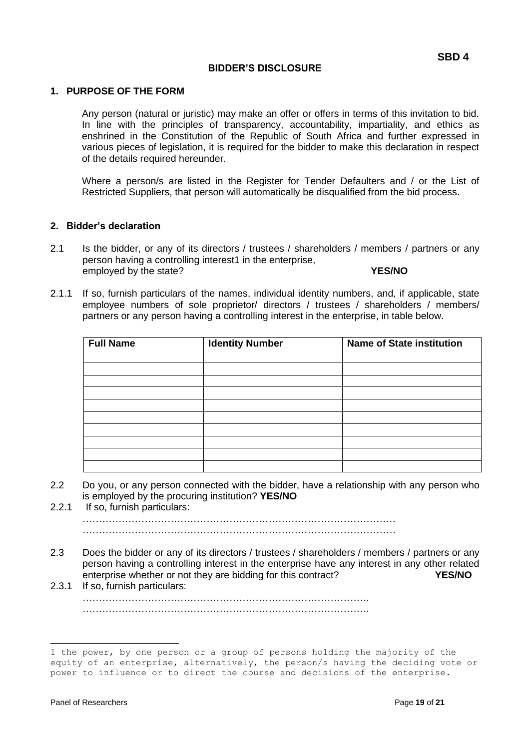#### **BIDDER'S DISCLOSURE**

#### **1. PURPOSE OF THE FORM**

Any person (natural or juristic) may make an offer or offers in terms of this invitation to bid. In line with the principles of transparency, accountability, impartiality, and ethics as enshrined in the Constitution of the Republic of South Africa and further expressed in various pieces of legislation, it is required for the bidder to make this declaration in respect of the details required hereunder.

Where a person/s are listed in the Register for Tender Defaulters and / or the List of Restricted Suppliers, that person will automatically be disqualified from the bid process.

#### **2. Bidder's declaration**

- 2.1 Is the bidder, or any of its directors / trustees / shareholders / members / partners or any person having a controlling interest1 in the enterprise, employed by the state? **YES/NO**
- 2.1.1 If so, furnish particulars of the names, individual identity numbers, and, if applicable, state employee numbers of sole proprietor/ directors / trustees / shareholders / members/ partners or any person having a controlling interest in the enterprise, in table below.

| <b>Full Name</b> | <b>Identity Number</b> | <b>Name of State institution</b> |
|------------------|------------------------|----------------------------------|
|                  |                        |                                  |
|                  |                        |                                  |
|                  |                        |                                  |
|                  |                        |                                  |
|                  |                        |                                  |
|                  |                        |                                  |
|                  |                        |                                  |
|                  |                        |                                  |
|                  |                        |                                  |

- 2.2 Do you, or any person connected with the bidder, have a relationship with any person who is employed by the procuring institution? **YES/NO**
- 2.2.1 If so, furnish particulars: ……………………………………………………………………………………

……………………………………………………………………………………

- 2.3 Does the bidder or any of its directors / trustees / shareholders / members / partners or any person having a controlling interest in the enterprise have any interest in any other related enterprise whether or not they are bidding for this contract? **YES/NO**
- 2.3.1 If so, furnish particulars: ……………………………………………………………………………. …………………………………………………………………………….

<sup>1</sup> the power, by one person or a group of persons holding the majority of the equity of an enterprise, alternatively, the person/s having the deciding vote or power to influence or to direct the course and decisions of the enterprise.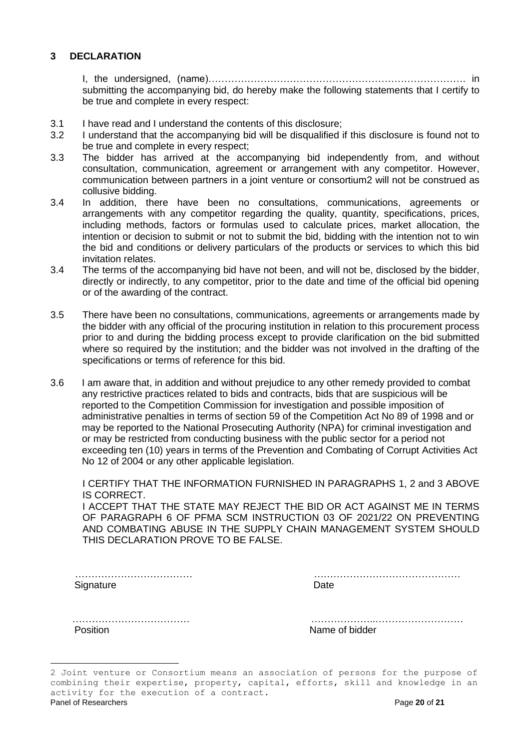### **3 DECLARATION**

I, the undersigned, (name)……………………………………………………………………. in submitting the accompanying bid, do hereby make the following statements that I certify to be true and complete in every respect:

- 3.1 I have read and I understand the contents of this disclosure;
- 3.2 I understand that the accompanying bid will be disqualified if this disclosure is found not to be true and complete in every respect;
- 3.3 The bidder has arrived at the accompanying bid independently from, and without consultation, communication, agreement or arrangement with any competitor. However, communication between partners in a joint venture or consortium2 will not be construed as collusive bidding.
- 3.4 In addition, there have been no consultations, communications, agreements or arrangements with any competitor regarding the quality, quantity, specifications, prices, including methods, factors or formulas used to calculate prices, market allocation, the intention or decision to submit or not to submit the bid, bidding with the intention not to win the bid and conditions or delivery particulars of the products or services to which this bid invitation relates.
- 3.4 The terms of the accompanying bid have not been, and will not be, disclosed by the bidder, directly or indirectly, to any competitor, prior to the date and time of the official bid opening or of the awarding of the contract.
- 3.5 There have been no consultations, communications, agreements or arrangements made by the bidder with any official of the procuring institution in relation to this procurement process prior to and during the bidding process except to provide clarification on the bid submitted where so required by the institution; and the bidder was not involved in the drafting of the specifications or terms of reference for this bid.
- 3.6 I am aware that, in addition and without prejudice to any other remedy provided to combat any restrictive practices related to bids and contracts, bids that are suspicious will be reported to the Competition Commission for investigation and possible imposition of administrative penalties in terms of section 59 of the Competition Act No 89 of 1998 and or may be reported to the National Prosecuting Authority (NPA) for criminal investigation and or may be restricted from conducting business with the public sector for a period not exceeding ten (10) years in terms of the Prevention and Combating of Corrupt Activities Act No 12 of 2004 or any other applicable legislation.

I CERTIFY THAT THE INFORMATION FURNISHED IN PARAGRAPHS 1, 2 and 3 ABOVE IS CORRECT.

I ACCEPT THAT THE STATE MAY REJECT THE BID OR ACT AGAINST ME IN TERMS OF PARAGRAPH 6 OF PFMA SCM INSTRUCTION 03 OF 2021/22 ON PREVENTING AND COMBATING ABUSE IN THE SUPPLY CHAIN MANAGEMENT SYSTEM SHOULD THIS DECLARATION PROVE TO BE FALSE.

 ……………………………… ……………………………………… Signature Date

| D. |  |  |  |  |  |  |  |  |  |  |  |  |  |  |  |  |  |  |  |  |  |  |  |  |  |
|----|--|--|--|--|--|--|--|--|--|--|--|--|--|--|--|--|--|--|--|--|--|--|--|--|--|

Position **Name of bidder** 

……………………………… ………………..………………………

Panel of Researchers Page **20** of **21** 2 Joint venture or Consortium means an association of persons for the purpose of combining their expertise, property, capital, efforts, skill and knowledge in an activity for the execution of a contract.